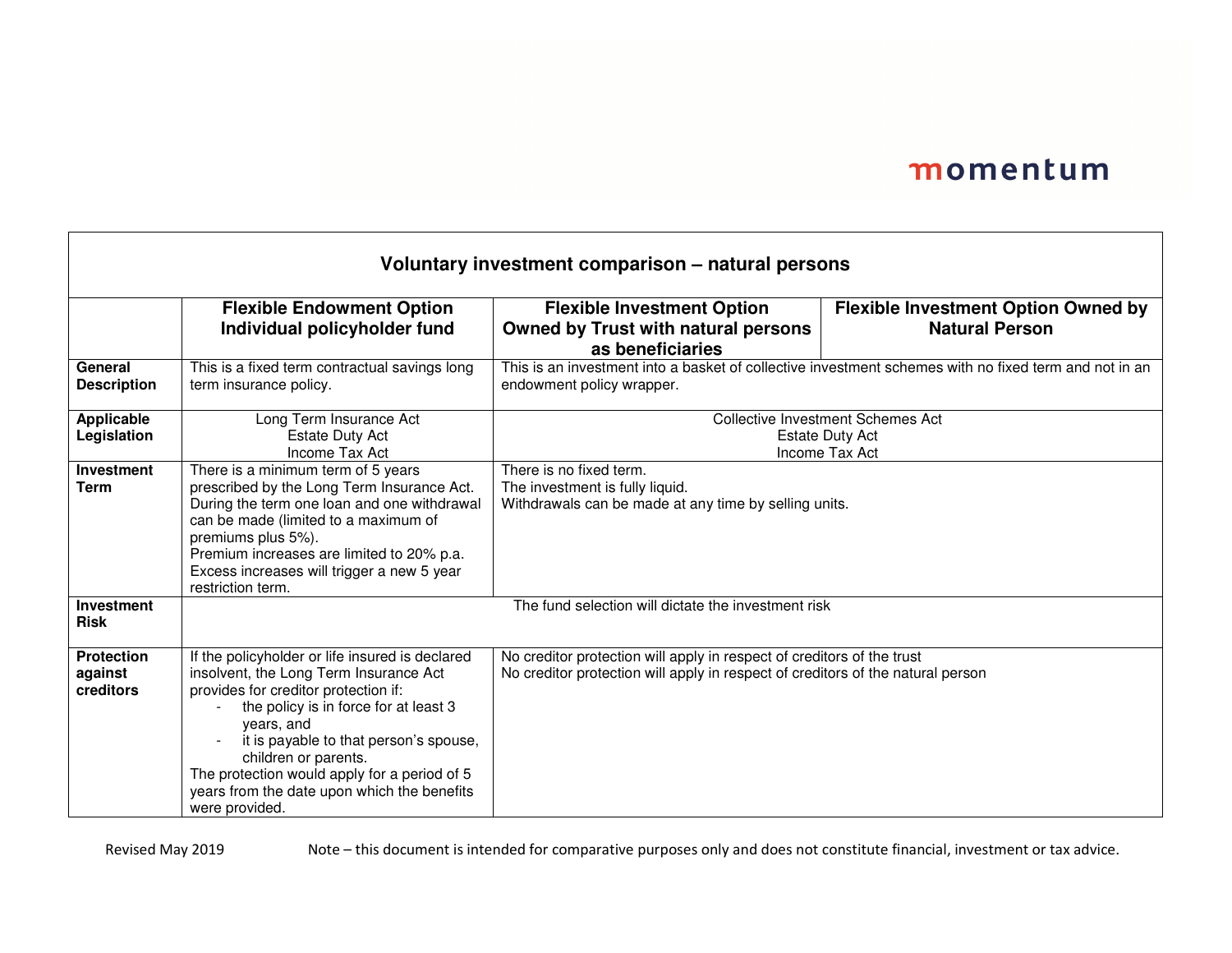ㄱ

| Voluntary investment comparison - natural persons |                                                                                                                                                                                                                                                                                                                                                                             |                                                                                                                                                           |                                                                     |  |
|---------------------------------------------------|-----------------------------------------------------------------------------------------------------------------------------------------------------------------------------------------------------------------------------------------------------------------------------------------------------------------------------------------------------------------------------|-----------------------------------------------------------------------------------------------------------------------------------------------------------|---------------------------------------------------------------------|--|
|                                                   | <b>Flexible Endowment Option</b><br>Individual policyholder fund                                                                                                                                                                                                                                                                                                            | <b>Flexible Investment Option</b><br><b>Owned by Trust with natural persons</b><br>as beneficiaries                                                       | <b>Flexible Investment Option Owned by</b><br><b>Natural Person</b> |  |
| General<br><b>Description</b>                     | This is a fixed term contractual savings long<br>term insurance policy.                                                                                                                                                                                                                                                                                                     | This is an investment into a basket of collective investment schemes with no fixed term and not in an<br>endowment policy wrapper.                        |                                                                     |  |
| Applicable<br>Legislation                         | Long Term Insurance Act<br><b>Estate Duty Act</b><br>Income Tax Act                                                                                                                                                                                                                                                                                                         | <b>Collective Investment Schemes Act</b><br><b>Estate Duty Act</b><br>Income Tax Act                                                                      |                                                                     |  |
| Investment<br><b>Term</b>                         | There is a minimum term of 5 years<br>prescribed by the Long Term Insurance Act.<br>During the term one loan and one withdrawal<br>can be made (limited to a maximum of<br>premiums plus 5%).<br>Premium increases are limited to 20% p.a.<br>Excess increases will trigger a new 5 year<br>restriction term.                                                               | There is no fixed term.<br>The investment is fully liquid.<br>Withdrawals can be made at any time by selling units.                                       |                                                                     |  |
| Investment<br><b>Risk</b>                         |                                                                                                                                                                                                                                                                                                                                                                             | The fund selection will dictate the investment risk                                                                                                       |                                                                     |  |
| <b>Protection</b><br>against<br>creditors         | If the policyholder or life insured is declared<br>insolvent, the Long Term Insurance Act<br>provides for creditor protection if:<br>the policy is in force for at least 3<br>years, and<br>it is payable to that person's spouse,<br>children or parents.<br>The protection would apply for a period of 5<br>years from the date upon which the benefits<br>were provided. | No creditor protection will apply in respect of creditors of the trust<br>No creditor protection will apply in respect of creditors of the natural person |                                                                     |  |

Г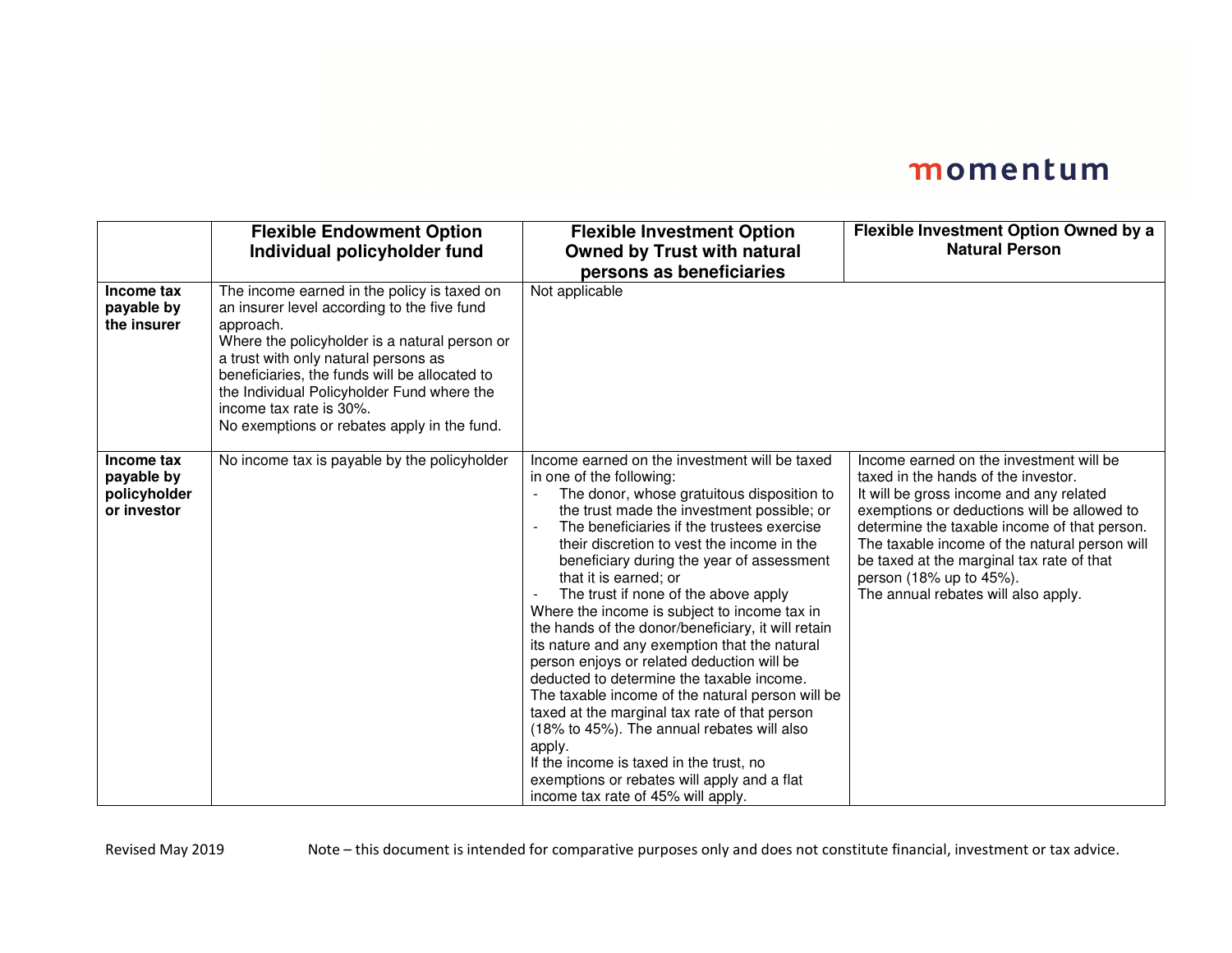|                                                         | <b>Flexible Endowment Option</b><br>Individual policyholder fund                                                                                                                                                                                                                                                                                                          | <b>Flexible Investment Option</b><br><b>Owned by Trust with natural</b><br>persons as beneficiaries                                                                                                                                                                                                                                                                                                                                                                                                                                                                                                                                                                                                                                                                                                                                                                                                                            | Flexible Investment Option Owned by a<br><b>Natural Person</b>                                                                                                                                                                                                                                                                                                                           |
|---------------------------------------------------------|---------------------------------------------------------------------------------------------------------------------------------------------------------------------------------------------------------------------------------------------------------------------------------------------------------------------------------------------------------------------------|--------------------------------------------------------------------------------------------------------------------------------------------------------------------------------------------------------------------------------------------------------------------------------------------------------------------------------------------------------------------------------------------------------------------------------------------------------------------------------------------------------------------------------------------------------------------------------------------------------------------------------------------------------------------------------------------------------------------------------------------------------------------------------------------------------------------------------------------------------------------------------------------------------------------------------|------------------------------------------------------------------------------------------------------------------------------------------------------------------------------------------------------------------------------------------------------------------------------------------------------------------------------------------------------------------------------------------|
| Income tax<br>payable by<br>the insurer                 | The income earned in the policy is taxed on<br>an insurer level according to the five fund<br>approach.<br>Where the policyholder is a natural person or<br>a trust with only natural persons as<br>beneficiaries, the funds will be allocated to<br>the Individual Policyholder Fund where the<br>income tax rate is 30%.<br>No exemptions or rebates apply in the fund. | Not applicable                                                                                                                                                                                                                                                                                                                                                                                                                                                                                                                                                                                                                                                                                                                                                                                                                                                                                                                 |                                                                                                                                                                                                                                                                                                                                                                                          |
| Income tax<br>payable by<br>policyholder<br>or investor | No income tax is payable by the policyholder                                                                                                                                                                                                                                                                                                                              | Income earned on the investment will be taxed<br>in one of the following:<br>The donor, whose gratuitous disposition to<br>the trust made the investment possible; or<br>The beneficiaries if the trustees exercise<br>their discretion to vest the income in the<br>beneficiary during the year of assessment<br>that it is earned; or<br>The trust if none of the above apply<br>Where the income is subject to income tax in<br>the hands of the donor/beneficiary, it will retain<br>its nature and any exemption that the natural<br>person enjoys or related deduction will be<br>deducted to determine the taxable income.<br>The taxable income of the natural person will be<br>taxed at the marginal tax rate of that person<br>(18% to 45%). The annual rebates will also<br>apply.<br>If the income is taxed in the trust, no<br>exemptions or rebates will apply and a flat<br>income tax rate of 45% will apply. | Income earned on the investment will be<br>taxed in the hands of the investor.<br>It will be gross income and any related<br>exemptions or deductions will be allowed to<br>determine the taxable income of that person.<br>The taxable income of the natural person will<br>be taxed at the marginal tax rate of that<br>person (18% up to 45%).<br>The annual rebates will also apply. |

Revised May 2019 Note – this document is intended for comparative purposes only and does not constitute financial, investment or tax advice.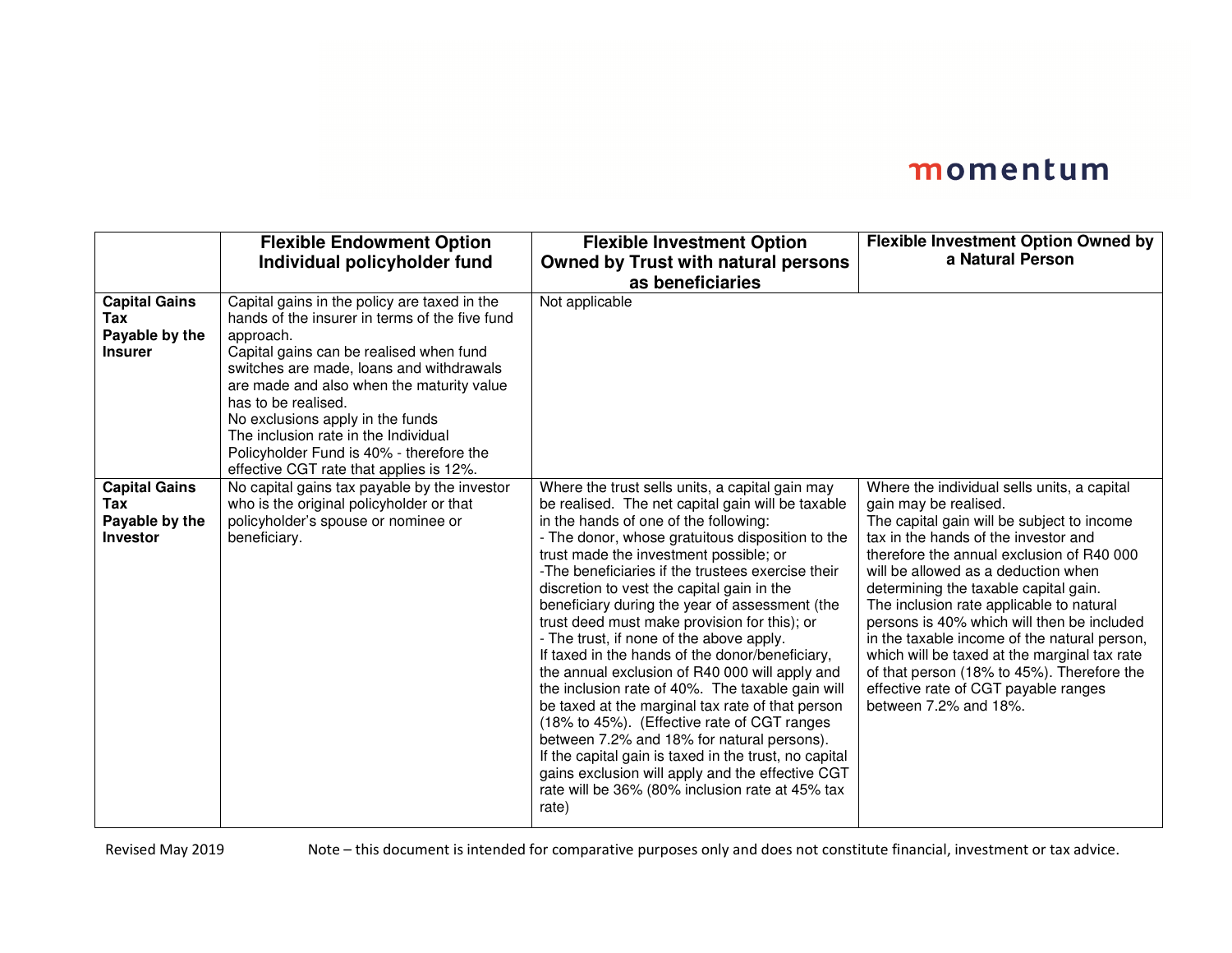|                                                                  | <b>Flexible Endowment Option</b><br>Individual policyholder fund                                                                                                                                                                                                                                                                                                                                                                          | <b>Flexible Investment Option</b><br><b>Owned by Trust with natural persons</b><br>as beneficiaries                                                                                                                                                                                                                                                                                                                                                                                                                                                                                                                                                                                                                                                                                                                                                                                                                                                                             | Flexible Investment Option Owned by<br>a Natural Person                                                                                                                                                                                                                                                                                                                                                                                                                                                                                                                                          |
|------------------------------------------------------------------|-------------------------------------------------------------------------------------------------------------------------------------------------------------------------------------------------------------------------------------------------------------------------------------------------------------------------------------------------------------------------------------------------------------------------------------------|---------------------------------------------------------------------------------------------------------------------------------------------------------------------------------------------------------------------------------------------------------------------------------------------------------------------------------------------------------------------------------------------------------------------------------------------------------------------------------------------------------------------------------------------------------------------------------------------------------------------------------------------------------------------------------------------------------------------------------------------------------------------------------------------------------------------------------------------------------------------------------------------------------------------------------------------------------------------------------|--------------------------------------------------------------------------------------------------------------------------------------------------------------------------------------------------------------------------------------------------------------------------------------------------------------------------------------------------------------------------------------------------------------------------------------------------------------------------------------------------------------------------------------------------------------------------------------------------|
| <b>Capital Gains</b><br>Tax<br>Payable by the<br><b>Insurer</b>  | Capital gains in the policy are taxed in the<br>hands of the insurer in terms of the five fund<br>approach.<br>Capital gains can be realised when fund<br>switches are made, loans and withdrawals<br>are made and also when the maturity value<br>has to be realised.<br>No exclusions apply in the funds<br>The inclusion rate in the Individual<br>Policyholder Fund is 40% - therefore the<br>effective CGT rate that applies is 12%. | Not applicable                                                                                                                                                                                                                                                                                                                                                                                                                                                                                                                                                                                                                                                                                                                                                                                                                                                                                                                                                                  |                                                                                                                                                                                                                                                                                                                                                                                                                                                                                                                                                                                                  |
| <b>Capital Gains</b><br>Tax<br>Payable by the<br><b>Investor</b> | No capital gains tax payable by the investor<br>who is the original policyholder or that<br>policyholder's spouse or nominee or<br>beneficiary.                                                                                                                                                                                                                                                                                           | Where the trust sells units, a capital gain may<br>be realised. The net capital gain will be taxable<br>in the hands of one of the following:<br>- The donor, whose gratuitous disposition to the<br>trust made the investment possible; or<br>-The beneficiaries if the trustees exercise their<br>discretion to vest the capital gain in the<br>beneficiary during the year of assessment (the<br>trust deed must make provision for this); or<br>- The trust, if none of the above apply.<br>If taxed in the hands of the donor/beneficiary,<br>the annual exclusion of R40 000 will apply and<br>the inclusion rate of 40%. The taxable gain will<br>be taxed at the marginal tax rate of that person<br>(18% to 45%). (Effective rate of CGT ranges<br>between 7.2% and 18% for natural persons).<br>If the capital gain is taxed in the trust, no capital<br>gains exclusion will apply and the effective CGT<br>rate will be 36% (80% inclusion rate at 45% tax<br>rate) | Where the individual sells units, a capital<br>gain may be realised.<br>The capital gain will be subject to income<br>tax in the hands of the investor and<br>therefore the annual exclusion of R40 000<br>will be allowed as a deduction when<br>determining the taxable capital gain.<br>The inclusion rate applicable to natural<br>persons is 40% which will then be included<br>in the taxable income of the natural person,<br>which will be taxed at the marginal tax rate<br>of that person (18% to 45%). Therefore the<br>effective rate of CGT payable ranges<br>between 7.2% and 18%. |

Revised May 2019 Note – this document is intended for comparative purposes only and does not constitute financial, investment or tax advice.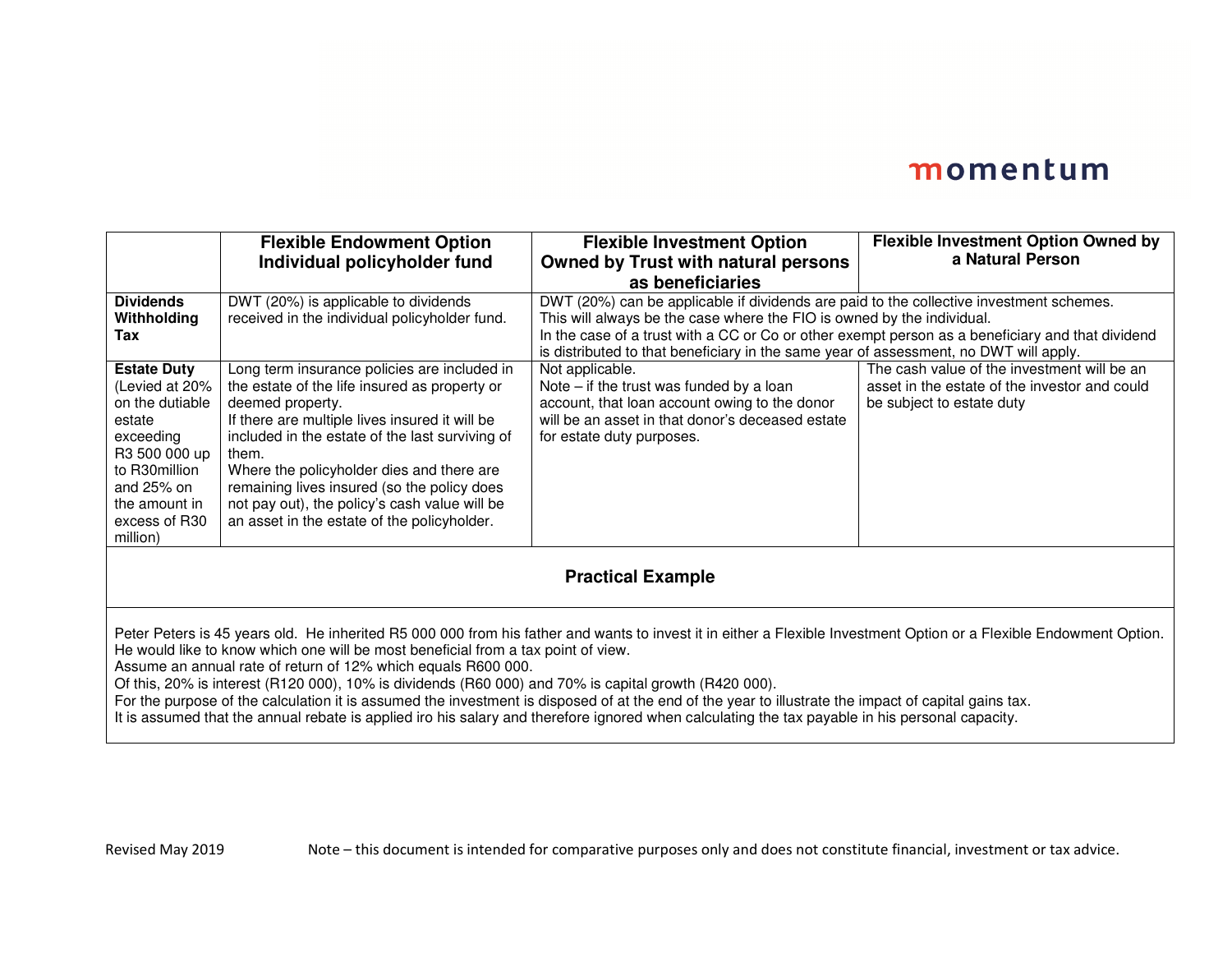|                                                                                                                                                                                                                                                                                                                                                                                                                                                                                                                                                                                                                                                                                                                                               | <b>Flexible Endowment Option</b>                                                                                                                                                                                                                                                                                                                                                                                            | <b>Flexible Investment Option</b>                                                                                                                                                                                                                                                                                                                              | <b>Flexible Investment Option Owned by</b>                                                                                |
|-----------------------------------------------------------------------------------------------------------------------------------------------------------------------------------------------------------------------------------------------------------------------------------------------------------------------------------------------------------------------------------------------------------------------------------------------------------------------------------------------------------------------------------------------------------------------------------------------------------------------------------------------------------------------------------------------------------------------------------------------|-----------------------------------------------------------------------------------------------------------------------------------------------------------------------------------------------------------------------------------------------------------------------------------------------------------------------------------------------------------------------------------------------------------------------------|----------------------------------------------------------------------------------------------------------------------------------------------------------------------------------------------------------------------------------------------------------------------------------------------------------------------------------------------------------------|---------------------------------------------------------------------------------------------------------------------------|
|                                                                                                                                                                                                                                                                                                                                                                                                                                                                                                                                                                                                                                                                                                                                               | Individual policyholder fund                                                                                                                                                                                                                                                                                                                                                                                                | <b>Owned by Trust with natural persons</b>                                                                                                                                                                                                                                                                                                                     | a Natural Person                                                                                                          |
|                                                                                                                                                                                                                                                                                                                                                                                                                                                                                                                                                                                                                                                                                                                                               |                                                                                                                                                                                                                                                                                                                                                                                                                             | as beneficiaries                                                                                                                                                                                                                                                                                                                                               |                                                                                                                           |
| <b>Dividends</b><br>Withholding<br>Tax                                                                                                                                                                                                                                                                                                                                                                                                                                                                                                                                                                                                                                                                                                        | DWT (20%) is applicable to dividends<br>received in the individual policyholder fund.                                                                                                                                                                                                                                                                                                                                       | DWT (20%) can be applicable if dividends are paid to the collective investment schemes.<br>This will always be the case where the FIO is owned by the individual.<br>In the case of a trust with a CC or Co or other exempt person as a beneficiary and that dividend<br>is distributed to that beneficiary in the same year of assessment, no DWT will apply. |                                                                                                                           |
| <b>Estate Duty</b><br>(Levied at 20%<br>on the dutiable<br>estate<br>exceeding<br>R3 500 000 up<br>to R30million<br>and 25% on<br>the amount in<br>excess of R30<br>million)                                                                                                                                                                                                                                                                                                                                                                                                                                                                                                                                                                  | Long term insurance policies are included in<br>the estate of the life insured as property or<br>deemed property.<br>If there are multiple lives insured it will be<br>included in the estate of the last surviving of<br>them.<br>Where the policyholder dies and there are<br>remaining lives insured (so the policy does<br>not pay out), the policy's cash value will be<br>an asset in the estate of the policyholder. | Not applicable.<br>Note $-$ if the trust was funded by a loan<br>account, that loan account owing to the donor<br>will be an asset in that donor's deceased estate<br>for estate duty purposes.                                                                                                                                                                | The cash value of the investment will be an<br>asset in the estate of the investor and could<br>be subject to estate duty |
| <b>Practical Example</b>                                                                                                                                                                                                                                                                                                                                                                                                                                                                                                                                                                                                                                                                                                                      |                                                                                                                                                                                                                                                                                                                                                                                                                             |                                                                                                                                                                                                                                                                                                                                                                |                                                                                                                           |
| Peter Peters is 45 years old. He inherited R5 000 000 from his father and wants to invest it in either a Flexible Investment Option or a Flexible Endowment Option.<br>He would like to know which one will be most beneficial from a tax point of view.<br>Assume an annual rate of return of 12% which equals R600 000.<br>Of this, 20% is interest (R120 000), 10% is dividends (R60 000) and 70% is capital growth (R420 000).<br>For the purpose of the calculation it is assumed the investment is disposed of at the end of the year to illustrate the impact of capital gains tax.<br>It is assumed that the annual rebate is applied iro his salary and therefore ignored when calculating the tax payable in his personal capacity. |                                                                                                                                                                                                                                                                                                                                                                                                                             |                                                                                                                                                                                                                                                                                                                                                                |                                                                                                                           |